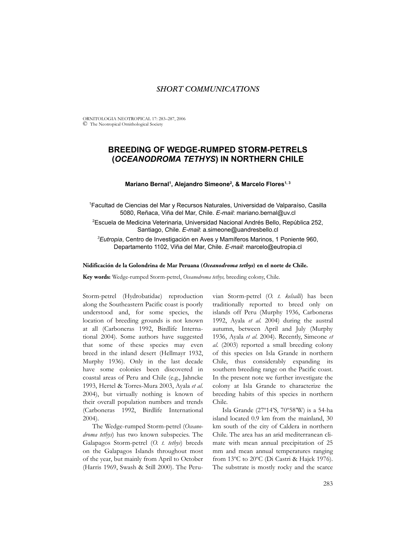## *SHORT COMMUNICATIONS*

ORNITOLOGIA NEOTROPICAL 17: 283–287, 2006 © The Neotropical Ornithological Society

# **BREEDING OF WEDGE-RUMPED STORM-PETRELS (***OCEANODROMA TETHYS***) IN NORTHERN CHILE**

### **Mariano Bernal1 , Alejandro Simeone2 , & Marcelo Flores1, 3**

1 Facultad de Ciencias del Mar y Recursos Naturales, Universidad de Valparaíso, Casilla 5080, Reñaca, Viña del Mar, Chile. *E-mail*: mariano.bernal@uv.cl

2 Escuela de Medicina Veterinaria, Universidad Nacional Andrés Bello, República 252, Santiago, Chile. *E-mail*: a.simeone@uandresbello.cl

*3 Eutropia*, Centro de Investigación en Aves y Mamíferos Marinos, 1 Poniente 960, Departamento 1102, Viña del Mar, Chile. *E-mail*: marcelo@eutropia.cl

## **Nidificación de la Golondrina de Mar Peruana (***Oceanodroma tethys***) en el norte de Chile.**

**Key words:** Wedge-rumped Storm-petrel, *Oceanodroma tethys,* breeding colony, Chile.

Storm-petrel (Hydrobatidae) reproduction along the Southeastern Pacific coast is poorly understood and, for some species, the location of breeding grounds is not known at all (Carboneras 1992, Birdlife International 2004). Some authors have suggested that some of these species may even breed in the inland desert (Hellmayr 1932, Murphy 1936). Only in the last decade have some colonies been discovered in coastal areas of Peru and Chile (e.g., Jahncke 1993, Hertel & Torres-Mura 2003, Ayala *et al*. 2004), but virtually nothing is known of their overall population numbers and trends (Carboneras 1992, Birdlife International 2004).

The Wedge-rumped Storm-petrel (*Oceanodroma tethys*) has two known subspecies. The Galapagos Storm-petrel (*O. t. tethys*) breeds on the Galapagos Islands throughout most of the year, but mainly from April to October (Harris 1969, Swash & Still 2000). The Peru-

vian Storm-petrel (*O. t. kelsalli*) has been traditionally reported to breed only on islands off Peru (Murphy 1936, Carboneras 1992, Ayala *et al*. 2004) during the austral autumn, between April and July (Murphy 1936, Ayala *et al*. 2004). Recently, Simeone *et al*. (2003) reported a small breeding colony of this species on Isla Grande in northern Chile, thus considerably expanding its southern breeding range on the Pacific coast. In the present note we further investigate the colony at Isla Grande to characterize the breeding habits of this species in northern Chile.

Isla Grande (27º14'S, 70º58'W) is a 54-ha island located 0.9 km from the mainland, 30 km south of the city of Caldera in northern Chile. The area has an arid mediterranean climate with mean annual precipitation of 25 mm and mean annual temperatures ranging from 13ºC to 20ºC (Di Castri & Hajek 1976). The substrate is mostly rocky and the scarce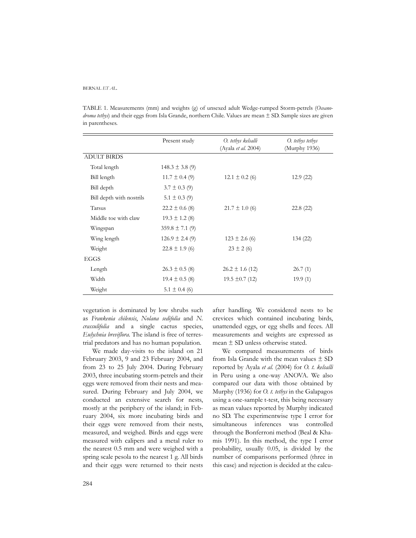#### BERNAL *ET AL.*

TABLE 1. Measurements (mm) and weights (g) of unsexed adult Wedge-rumped Storm-petrels (*Oceanodroma tethys*) and their eggs from Isla Grande, northern Chile. Values are mean ± SD. Sample sizes are given in parentheses.

|                          | Present study       | O. tethys kelsalli<br>(Ayala et al. 2004) | O. tethys tethys<br>(Murphy 1936) |
|--------------------------|---------------------|-------------------------------------------|-----------------------------------|
| <b>ADULT BIRDS</b>       |                     |                                           |                                   |
| Total length             | $148.3 \pm 3.8$ (9) |                                           |                                   |
| Bill length              | $11.7 \pm 0.4$ (9)  | $12.1 \pm 0.2$ (6)                        | 12.9(22)                          |
| Bill depth               | $3.7 \pm 0.3$ (9)   |                                           |                                   |
| Bill depth with nostrils | $5.1 \pm 0.3$ (9)   |                                           |                                   |
| Tarsus                   | $22.2 \pm 0.6$ (8)  | $21.7 \pm 1.0$ (6)                        | 22.8(22)                          |
| Middle toe with claw     | $19.3 \pm 1.2$ (8)  |                                           |                                   |
| Wingspan                 | $359.8 \pm 7.1$ (9) |                                           |                                   |
| Wing length              | $126.9 \pm 2.4(9)$  | $123 \pm 2.6$ (6)                         | 134(22)                           |
| Weight                   | $22.8 \pm 1.9$ (6)  | $23 \pm 2(6)$                             |                                   |
| EGGS                     |                     |                                           |                                   |
| Length                   | $26.3 \pm 0.5$ (8)  | $26.2 \pm 1.6$ (12)                       | 26.7(1)                           |
| Width                    | $19.4 \pm 0.5$ (8)  | $19.5 \pm 0.7$ (12)                       | 19.9(1)                           |
| Weight                   | $5.1 \pm 0.4$ (6)   |                                           |                                   |

vegetation is dominated by low shrubs such as *Frankenia chilensis*, *Nolana sedifolia* and *N. crassulifolia* and a single cactus species, *Eulychnia breviflora*. The island is free of terrestrial predators and has no human population.

We made day-visits to the island on 21 February 2003, 9 and 23 February 2004, and from 23 to 25 July 2004. During February 2003, three incubating storm-petrels and their eggs were removed from their nests and measured. During February and July 2004, we conducted an extensive search for nests, mostly at the periphery of the island; in February 2004, six more incubating birds and their eggs were removed from their nests, measured, and weighed. Birds and eggs were measured with calipers and a metal ruler to the nearest 0.5 mm and were weighed with a spring scale pesola to the nearest 1 g. All birds and their eggs were returned to their nests after handling. We considered nests to be crevices which contained incubating birds, unattended eggs, or egg shells and feces. All measurements and weights are expressed as mean ± SD unless otherwise stated.

We compared measurements of birds from Isla Grande with the mean values  $\pm$  SD reported by Ayala *et al.* (2004) for *O. t. kelsalli* in Peru using a one-way ANOVA. We also compared our data with those obtained by Murphy (1936) for *O. t. tethys* in the Galapagos using a one-sample t-test, this being necessary as mean values reported by Murphy indicated no SD. The experimentwise type I error for simultaneous inferences was controlled through the Bonferroni method (Beal & Khamis 1991). In this method, the type I error probability, usually 0.05, is divided by the number of comparisons performed (three in this case) and rejection is decided at the calcu-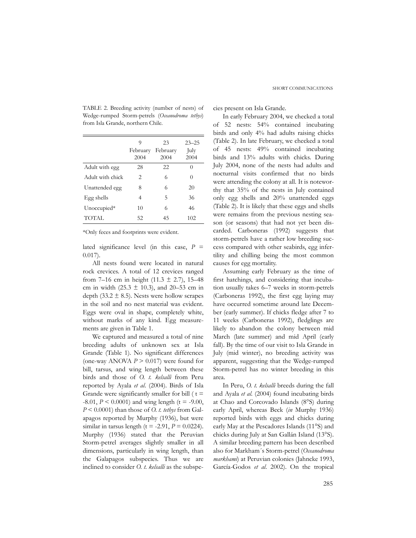|                  | 9<br>February<br>2004 | 23<br>February<br>2004 | $23 - 25$<br>July<br>2004 |
|------------------|-----------------------|------------------------|---------------------------|
| Adult with egg   | 28                    | 22                     | 0                         |
| Adult with chick | 2                     | 6                      | 0                         |
| Unattended egg   | 8                     | 6                      | 20                        |
| Egg shells       | 4                     | 5                      | 36                        |
| Unoccupied*      | 10                    | 6                      | 46                        |
| TOTAL            | 52                    | 45                     | 102                       |

TABLE 2. Breeding activity (number of nests) of Wedge-rumped Storm-petrels (*Oceanodroma tethys*) from Isla Grande, northern Chile.

\*Only feces and footprints were evident.

lated significance level (in this case, *P* = 0.017).

All nests found were located in natural rock crevices. A total of 12 crevices ranged from 7–16 cm in height (11.3  $\pm$  2.7), 15–48 cm in width (25.3  $\pm$  10.3), and 20–53 cm in depth (33.2  $\pm$  8.5). Nests were hollow scrapes in the soil and no nest material was evident. Eggs were oval in shape, completely white, without marks of any kind. Egg measurements are given in Table 1.

We captured and measured a total of nine breeding adults of unknown sex at Isla Grande (Table 1). No significant differences (one-way ANOVA *P* > 0.017) were found for bill, tarsus, and wing length between these birds and those of *O. t. kelsalli* from Peru reported by Ayala *et al*. (2004). Birds of Isla Grande were significantly smaller for bill  $(t =$  $-8.01, P \le 0.0001$ ) and wing length (t =  $-9.00$ ), *P* < 0.0001) than those of *O. t. tethys* from Galapagos reported by Murphy (1936), but were similar in tarsus length ( $t = -2.91$ ,  $P = 0.0224$ ). Murphy (1936) stated that the Peruvian Storm-petrel averages slightly smaller in all dimensions, particularly in wing length, than the Galapagos subspecies. Thus we are inclined to consider *O. t. kelsalli* as the subspecies present on Isla Grande.

In early February 2004, we checked a total of 52 nests: 54% contained incubating birds and only 4% had adults raising chicks (Table 2). In late February, we checked a total of 45 nests: 49% contained incubating birds and 13% adults with chicks. During July 2004, none of the nests had adults and nocturnal visits confirmed that no birds were attending the colony at all. It is noteworthy that 35% of the nests in July contained only egg shells and 20% unattended eggs (Table 2). It is likely that these eggs and shells were remains from the previous nesting season (or seasons) that had not yet been discarded. Carboneras (1992) suggests that storm-petrels have a rather low breeding success compared with other seabirds, egg infertility and chilling being the most common causes for egg mortality.

Assuming early February as the time of first hatchings, and considering that incubation usually takes 6–7 weeks in storm-petrels (Carboneras 1992), the first egg laying may have occurred sometime around late December (early summer). If chicks fledge after 7 to 11 weeks (Carboneras 1992), fledglings are likely to abandon the colony between mid March (late summer) and mid April (early fall). By the time of our visit to Isla Grande in July (mid winter), no breeding activity was apparent, suggesting that the Wedge-rumped Storm-petrel has no winter breeding in this area.

In Peru, *O. t. kelsalli* breeds during the fall and Ayala *et al*. (2004) found incubating birds at Chao and Corcovado Islands (8°S) during early April, whereas Beck (*in* Murphy 1936) reported birds with eggs and chicks during early May at the Pescadores Islands (11°S) and chicks during July at San Gallán Island (13°S). A similar breeding pattern has been described also for Markham´s Storm-petrel (*Oceanodroma markhami*) at Peruvian colonies (Jahncke 1993, García-Godos *et al*. 2002). On the tropical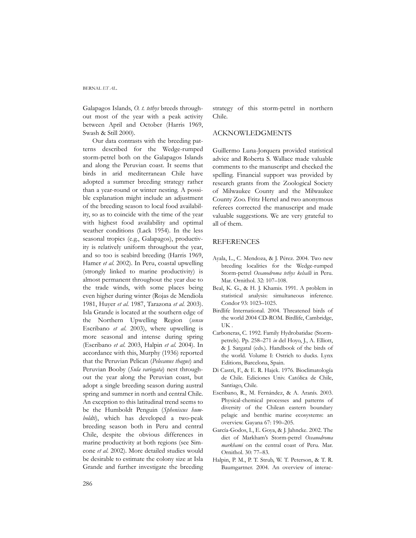#### BERNAL *ET AL.*

Galapagos Islands, *O. t. tethys* breeds throughout most of the year with a peak activity between April and October (Harris 1969, Swash & Still 2000).

Our data contrasts with the breeding patterns described for the Wedge-rumped storm-petrel both on the Galapagos Islands and along the Peruvian coast. It seems that birds in arid mediterranean Chile have adopted a summer breeding strategy rather than a year-round or winter nesting. A possible explanation might include an adjustment of the breeding season to local food availability, so as to coincide with the time of the year with highest food availability and optimal weather conditions (Lack 1954). In the less seasonal tropics (e.g., Galapagos), productivity is relatively uniform throughout the year, and so too is seabird breeding (Harris 1969, Hamer *et al*. 2002). In Peru, coastal upwelling (strongly linked to marine productivity) is almost permanent throughout the year due to the trade winds, with some places being even higher during winter (Rojas de Mendiola 1981, Huyer *et al*. 1987, Tarazona *et al*. 2003). Isla Grande is located at the southern edge of the Northern Upwelling Region (*sensu* Escribano *et al*. 2003), where upwelling is more seasonal and intense during spring (Escribano *et al*. 2003, Halpin *et al*. 2004). In accordance with this, Murphy (1936) reported that the Peruvian Pelican (*Pelecanus thagus*) and Peruvian Booby (*Sula variegata*) nest throughout the year along the Peruvian coast, but adopt a single breeding season during austral spring and summer in north and central Chile. An exception to this latitudinal trend seems to be the Humboldt Penguin (*Spheniscus humboldti*), which has developed a two-peak breeding season both in Peru and central Chile, despite the obvious differences in marine productivity at both regions (see Simeone *et al*. 2002). More detailed studies would be desirable to estimate the colony size at Isla Grande and further investigate the breeding strategy of this storm-petrel in northern Chile.

## ACKNOWLEDGMENTS

Guillermo Luna-Jorquera provided statistical advice and Roberta S. Wallace made valuable comments to the manuscript and checked the spelling. Financial support was provided by research grants from the Zoological Society of Milwaukee County and the Milwaukee County Zoo. Fritz Hertel and two anonymous referees corrected the manuscript and made valuable suggestions. We are very grateful to all of them.

## REFERENCES

- Ayala, L., C. Mendoza, & J. Pérez. 2004. Two new breeding localities for the Wedge-rumped Storm-petrel *Oceanodroma tethys kelsalli* in Peru. Mar. Ornithol. 32: 107–108.
- Beal, K. G., & H. J. Khamis. 1991. A problem in statistical analysis: simultaneous inference. Condor 93: 1023–1025.
- Birdlife International. 2004. Threatened birds of the world 2004 CD-ROM. Birdlife, Cambridge, UK .
- Carboneras, C. 1992. Family Hydrobatidae (Stormpetrels). Pp. 258–271 *in* del Hoyo, J., A. Elliott, & J. Sargatal (eds.). Handbook of the birds of the world. Volume I: Ostrich to ducks. Lynx Editions, Barcelona, Spain.
- Di Castri, F., & E. R. Hajek. 1976. Bioclimatología de Chile. Ediciones Univ. Católica de Chile, Santiago, Chile.
- Escribano, R., M. Fernández, & A. Aranís. 2003. Physical-chemical processes and patterns of diversity of the Chilean eastern boundary pelagic and benthic marine ecosystems: an overview. Gayana 67: 190–205.
- García-Godos, I., E. Goya, & J. Jahncke. 2002. The diet of Markham's Storm-petrel *Oceanodroma markhami* on the central coast of Peru. Mar. Ornithol. 30: 77–83.
- Halpin, P. M., P. T. Strub, W. T. Peterson, & T. R. Baumgartner. 2004. An overview of interac-